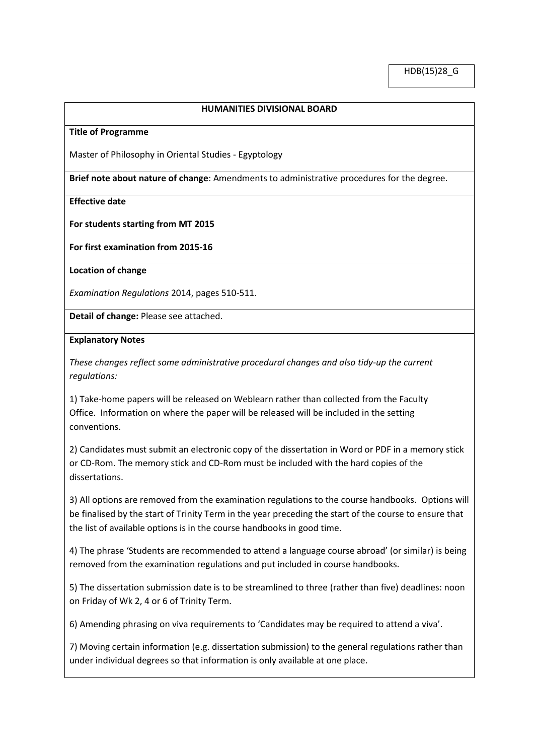### **HUMANITIES DIVISIONAL BOARD**

#### **Title of Programme**

Master of Philosophy in Oriental Studies - Egyptology

**Brief note about nature of change**: Amendments to administrative procedures for the degree.

#### **Effective date**

#### **For students starting from MT 2015**

**For first examination from 2015-16**

**Location of change**

*Examination Regulations* 2014, pages 510-511.

**Detail of change:** Please see attached.

#### **Explanatory Notes**

*These changes reflect some administrative procedural changes and also tidy-up the current regulations:*

1) Take-home papers will be released on Weblearn rather than collected from the Faculty Office. Information on where the paper will be released will be included in the setting conventions.

2) Candidates must submit an electronic copy of the dissertation in Word or PDF in a memory stick or CD-Rom. The memory stick and CD-Rom must be included with the hard copies of the dissertations.

3) All options are removed from the examination regulations to the course handbooks. Options will be finalised by the start of Trinity Term in the year preceding the start of the course to ensure that the list of available options is in the course handbooks in good time.

4) The phrase 'Students are recommended to attend a language course abroad' (or similar) is being removed from the examination regulations and put included in course handbooks.

5) The dissertation submission date is to be streamlined to three (rather than five) deadlines: noon on Friday of Wk 2, 4 or 6 of Trinity Term.

6) Amending phrasing on viva requirements to 'Candidates may be required to attend a viva'.

7) Moving certain information (e.g. dissertation submission) to the general regulations rather than under individual degrees so that information is only available at one place.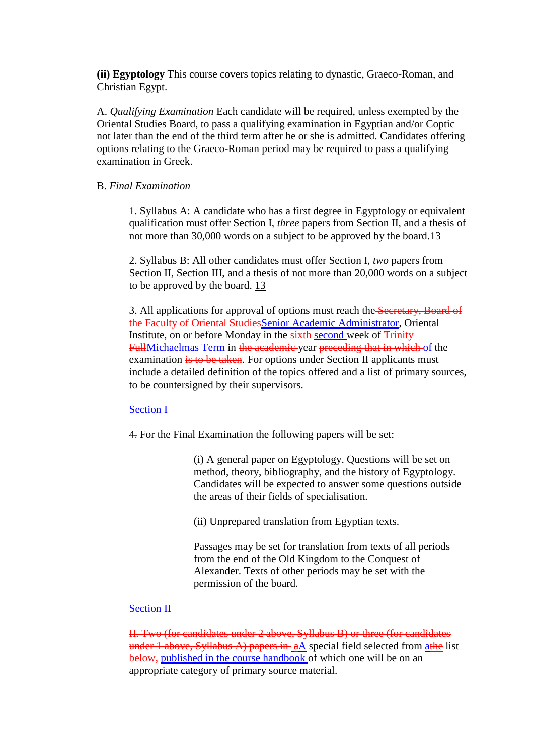**(ii) Egyptology** This course covers topics relating to dynastic, Graeco-Roman, and Christian Egypt.

A. *Qualifying Examination* Each candidate will be required, unless exempted by the Oriental Studies Board, to pass a qualifying examination in Egyptian and/or Coptic not later than the end of the third term after he or she is admitted. Candidates offering options relating to the Graeco-Roman period may be required to pass a qualifying examination in Greek.

## B. *Final Examination*

1. Syllabus A: A candidate who has a first degree in Egyptology or equivalent qualification must offer Section I, *three* papers from Section II, and a thesis of not more than 30,000 words on a subject to be approved by the board[.13](http://www.admin.ox.ac.uk/examregs/15-36_Special_Regulations.shtml#univ-9780199202669-note-97)

2. Syllabus B: All other candidates must offer Section I, *two* papers from Section II, Section III, and a thesis of not more than 20,000 words on a subject to be approved by the board. [13](http://www.admin.ox.ac.uk/examregs/15-36_Special_Regulations.shtml#univ-9780199202669-note-97)

3. All applications for approval of options must reach the Secretary, Board of the Faculty of Oriental StudiesSenior Academic Administrator, Oriental Institute, on or before Monday in the sixth-second week of Trinity FullMichaelmas Term in the academic year preceding that in which of the examination is to be taken. For options under Section II applicants must include a detailed definition of the topics offered and a list of primary sources, to be countersigned by their supervisors.

# Section I

4. For the Final Examination the following papers will be set:

(i) A general paper on Egyptology. Questions will be set on method, theory, bibliography, and the history of Egyptology. Candidates will be expected to answer some questions outside the areas of their fields of specialisation.

(ii) Unprepared translation from Egyptian texts.

Passages may be set for translation from texts of all periods from the end of the Old Kingdom to the Conquest of Alexander. Texts of other periods may be set with the permission of the board.

# Section II

II. Two (for candidates under 2 above, Syllabus B) or three (for candidates under 1 above, Syllabus A) papers in  $aA$  special field selected from athe list below, published in the course handbook of which one will be on an appropriate category of primary source material.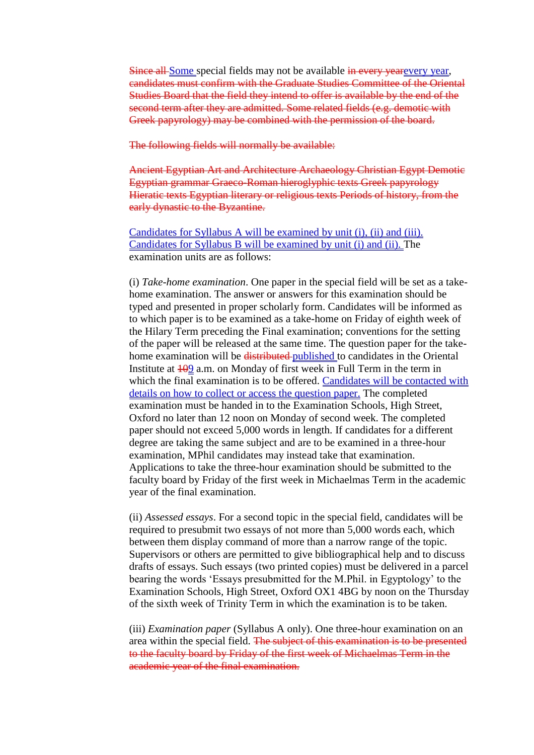Since all-Some special fields may not be available in every yearevery year, candidates must confirm with the Graduate Studies Committee of the Oriental Studies Board that the field they intend to offer is available by the end of the second term after they are admitted. Some related fields (e.g. demotic with Greek papyrology) may be combined with the permission of the board.

The following fields will normally be available:

Ancient Egyptian Art and Architecture Archaeology Christian Egypt Demotic Egyptian grammar Graeco-Roman hieroglyphic texts Greek papyrology Hieratic texts Egyptian literary or religious texts Periods of history, from the early dynastic to the Byzantine.

Candidates for Syllabus A will be examined by unit (i), (ii) and (iii). Candidates for Syllabus B will be examined by unit (i) and (ii). The examination units are as follows:

(i) *Take-home examination*. One paper in the special field will be set as a takehome examination. The answer or answers for this examination should be typed and presented in proper scholarly form. Candidates will be informed as to which paper is to be examined as a take-home on Friday of eighth week of the Hilary Term preceding the Final examination; conventions for the setting of the paper will be released at the same time. The question paper for the takehome examination will be distributed published to candidates in the Oriental Institute at  $\frac{100}{2}$  a.m. on Monday of first week in Full Term in the term in which the final examination is to be offered. Candidates will be contacted with details on how to collect or access the question paper. The completed examination must be handed in to the Examination Schools, High Street, Oxford no later than 12 noon on Monday of second week. The completed paper should not exceed 5,000 words in length. If candidates for a different degree are taking the same subject and are to be examined in a three-hour examination, MPhil candidates may instead take that examination. Applications to take the three-hour examination should be submitted to the faculty board by Friday of the first week in Michaelmas Term in the academic year of the final examination.

(ii) *Assessed essays*. For a second topic in the special field, candidates will be required to presubmit two essays of not more than 5,000 words each, which between them display command of more than a narrow range of the topic. Supervisors or others are permitted to give bibliographical help and to discuss drafts of essays. Such essays (two printed copies) must be delivered in a parcel bearing the words 'Essays presubmitted for the M.Phil. in Egyptology' to the Examination Schools, High Street, Oxford OX1 4BG by noon on the Thursday of the sixth week of Trinity Term in which the examination is to be taken.

(iii) *Examination paper* (Syllabus A only). One three-hour examination on an area within the special field. The subject of this examination is to be presented to the faculty board by Friday of the first week of Michaelmas Term in the academic year of the final examination.